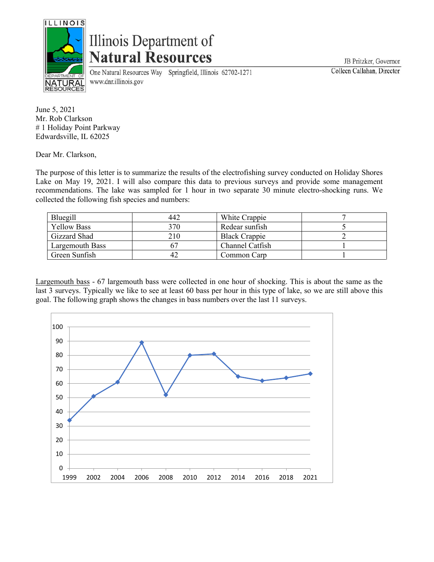

## Illinois Department of **Natural Resources**

One Natural Resources Way Springfield, Illinois 62702-1271 www.dnr.illinois.gov

JB Pritzker, Governor Colleen Callahan, Director

June 5, 2021 Mr. Rob Clarkson # 1 Holiday Point Parkway Edwardsville, IL 62025

Dear Mr. Clarkson,

The purpose of this letter is to summarize the results of the electrofishing survey conducted on Holiday Shores Lake on May 19, 2021. I will also compare this data to previous surveys and provide some management recommendations. The lake was sampled for 1 hour in two separate 30 minute electro-shocking runs. We collected the following fish species and numbers:

| Bluegill           | 442 | White Crappie        |  |
|--------------------|-----|----------------------|--|
| <b>Yellow Bass</b> | 370 | Redear sunfish       |  |
| Gizzard Shad       | 210 | <b>Black Crappie</b> |  |
| Largemouth Bass    |     | Channel Catfish      |  |
| Green Sunfish      | 42  | Common Carp          |  |

Largemouth bass - 67 largemouth bass were collected in one hour of shocking. This is about the same as the last 3 surveys. Typically we like to see at least 60 bass per hour in this type of lake, so we are still above this goal. The following graph shows the changes in bass numbers over the last 11 surveys.